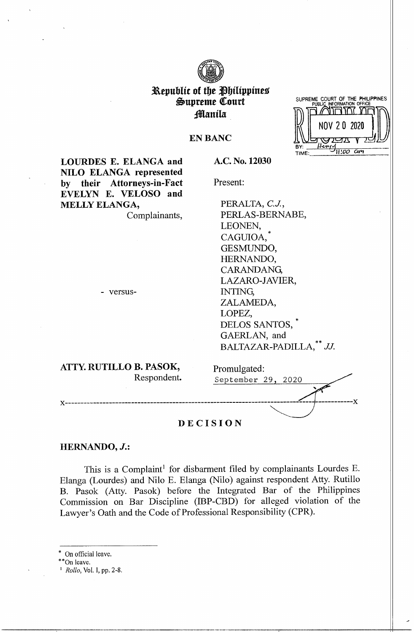

# Republic of the Philippines Supreme Court manila.

|     | SUPREME COURT OF THE PHILIPPINES<br>PUBLIC INFORMATION OFFICE |  |
|-----|---------------------------------------------------------------|--|
|     |                                                               |  |
|     | NOV 20 2020                                                   |  |
|     |                                                               |  |
| BY: |                                                               |  |
|     |                                                               |  |

**EN BANC** 

**A.C. No. 12030** 

Present:

**LOURDES E. ELANGA and NILO ELANGA represented by their Attorneys-in-Fact EVELYN E. VELOSO and MELLY ELANGA,** 

Complainants,

PERALTA, *C.J.,*  PERLAS-BERNABE, LEONEN, CAGUIOA. GESMUNDO, HERNANDO, CARANDANG, LAZARO-JAVIER, INTING, ZALAMEDA, LOPEZ, DELOS SANTOS, \* GAERLAN, and

BALTAZAR-PADILLA,<sup>\*\*</sup> JJ.

- versus-

**ATTY. RUTILLO B. PASOK,**  Respondent.

Promulgated: September 29, 2020

### **DECISION**

# **HERNANDO,** *J.:*

This is a Complaint<sup>1</sup> for disbarment filed by complainants Lourdes E. Blanga (Lourdes) and Nilo E. Blanga (Nilo) against respondent Atty. Rutillo B. Pasok (Atty. Pasok) before the Integrated Bar of the Philippines Commission on Bar Discipline (IBP-CBD) for alleged violation of the Lawyer's Oath and the Code of Professional Responsibility (CPR).

On official leave.

\*On leave.

1 *Rollo,* Vol. I, pp. 2-8.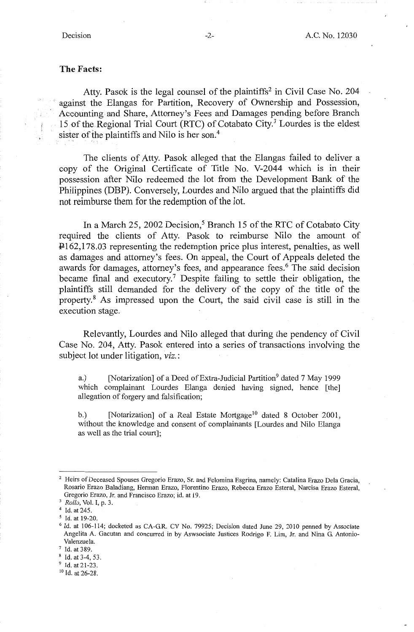# **The Facts:**

Atty. Pasok is the legal counsel of the plaintiffs<sup>2</sup> in Civil Case No. 204 against the Elangas for Partition, Recovery of Ownership and Possession, Accounting and Share, Attorney's Fees and Damages pending before Branch 15 of the Regional Trial Court (RTC) of Cotabato City.<sup>3</sup> Lourdes is the eldest sister of the plaintiffs and Nilo is her son.<sup>4</sup>

The clients of Atty. Pasok alleged that the Elangas failed to deliver a copy of the Original Certificate of Title No. V-2044 which is in their possession after Nilo redeemed the lot from the Development Bank of the Philippines (DBP). Conversely, Lourdes and Nilo argued that the plaintiffs did not reimburse them for the redemption of the lot.

In a March 25, 2002 Decision,<sup>5</sup> Branch 15 of the RTC of Cotabato City required the clients of Atty. Pasok to reimburse Nilo the amount of P 162,178.03 representing the redemption price plus interest, penalties, as well as damages and attorney's fees. On appeal, the Court of Appeals deleted the awards for damages, attorney's fees, and appearance fees.<sup>6</sup> The said decision became final and executory.<sup>7</sup> Despite failing to settle their obligation, the plaintiffs still demanded for the delivery of the copy of the title of the property. <sup>8</sup>As impressed upon the Court, the said civil case is still in the execution stage.

Relevantly, Lourdes and Nilo alleged that during the pendency of Civil Case No. 204, Atty. Pasok entered into a series of transactions involving the subject lot under litigation, *viz.:* 

a.) [Notarization] of a Deed of Extra-Judicial Partition<sup>9</sup> dated 7 May 1999 which complainant Lourdes Elanga denied having signed, hence [the] allegation of forgery and falsification;

b.) [Notarization] of a Real Estate Mortgage<sup>10</sup> dated 8 October 2001, without the knowledge and consent of complainants [Lourdes and Nilo Elanga as well as the trial court];

<sup>&</sup>lt;sup>2</sup> Heirs of Deceased Spouses Gregorio Erazo, Sr. and Felomina Esgrina, namely: Catalina Erazo Dela Gracia, Rosario Erazo Baladiang, Herman Erazo, Florentino Erazo, Rebecca Erazo Esteral, Narcisa Erazo Esteral, Gregorio Erazo, Jr. and Francisco Erazo; id. at 19.

<sup>3</sup> *Rollo,* Vol. I, p. 3.

<sup>&</sup>lt;sup>4</sup> Id. at 245.

*<sup>5</sup>*Id. at 19-20.

<sup>&</sup>lt;sup>6</sup> Id. at 106-114; docketed as CA-G.R. CV No. 79925; Decision dated June 29, 2010 penned by Associate Angelita A. Gacutan and concurred in by Aswsociate Justices Rodrigo F. Lim, Jr. and Nina G. Antonio-Valenzuela.

 $^7$  Id. at 389.<br><sup>8</sup> Id. at 3-4, 53.

<sup>&</sup>lt;sup>9</sup> Id. at 21-23.

<sup>10</sup> Id. at 26-28.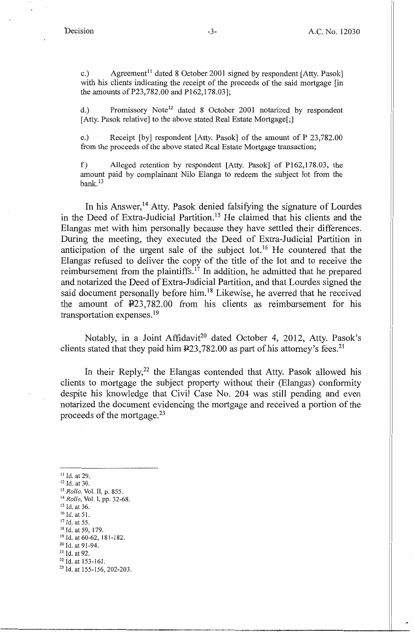c.) Agreement<sup>11</sup> dated 8 October 2001 signed by respondent [Atty. Pasok] with his clients indicating the receipt of the proceeds of the said mortgage [in] the amounts of P23,782.00 and P162,178.03];

d.) Promissory Note<sup>12</sup> dated 8 October 2001 notarized by respondent [Atty. Pasok relative] to the above stated Real Estate Mortgage[;]

e.) Receipt [by] respondent [Atty. Pasok] of the amount of P 23,782.00 from the proceeds of the above stated Real Estate Mortgage transaction;

f.) Alleged retention by respondent [Atty. Pasok] of P162,178.03, the amount paid by complainant Nilo Elanga to redeem the subject lot from the  $bank.<sup>13</sup>$ 

In his Answer, 14 Atty. Pasok denied falsifying the signature of Lourdes in the Deed of Extra-Judicial Partition. 15 He claimed that his clients and the Elangas met with him personally because they have settled their differences. During the meeting, they executed the Deed of Extra-Judicial Partition in anticipation of the urgent sale of the subject  $\text{lot.}^{16}$  He countered that the Elangas refused to deliver the copy of the title of the lot and to receive the reimbursement from the plaintiffs. 17 In addition, he admitted that he prepared and notarized the Deed of Extra-Judicial Partition, and that Lourdes signed the said document personally before him. 18 Likewise, he averred that he received the amount of  $\text{\textsterling}23,782.00$  from his clients as reimbursement for his transportation expenses. <sup>19</sup>

Notably, in a Joint Affidavit<sup>20</sup> dated October 4, 2012, Atty. Pasok's clients stated that they paid him  $\text{\textsterling}23,782.00$  as part of his attorney's fees.<sup>21</sup>

In their Reply,  $2^2$  the Elangas contended that Atty. Pasok allowed his clients to mortgage the subject property without their (Elangas) conformity despite his knowledge that Civil Case No. 204 was still pending and even notarized the document evidencing the mortgage and received a portion of the proceeds of the mortgage. 23

<sup>11</sup>Id. at 29. 12 Id. at 30. 13 *Rollo,* Vol. II, p. 855. 14 *Rollo,* Vol. I, pp. 32-68.

<sup>15</sup> Id. at 36.

 $^{16}$  Id. at 51.<br> $^{17}$  Id. at 55.

<sup>&</sup>lt;sup>18</sup> Id. at 59, 179.<br><sup>19</sup> Id. at 60-62, 181-182.<br><sup>20</sup> Id. at 91-94.<br><sup>21</sup> Id. at 92.

<sup>&</sup>lt;sup>22</sup> Id. at 153-161.<br><sup>23</sup> Id. at 155-156, 202-203.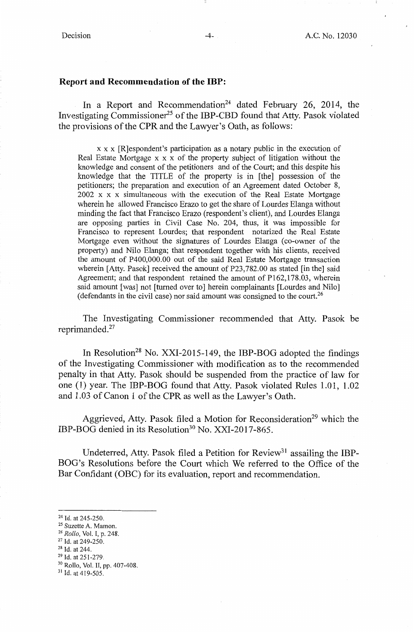## **Report and Recommendation of the IBP:**

In a Report and Recommendation<sup>24</sup> dated February 26, 2014, the Investigating Commissioner<sup>25</sup> of the IBP-CBD found that Atty. Pasok violated the provisions of the CPR and the Lawyer's Oath, as follows:

x x x [R]espondent's participation as a notary public in the execution of Real Estate Mortgage x x x of the property subject of litigation without the knowledge and consent of the petitioners and of the Court; and this despite his knowledge that the TITLE of the property is in [the] possession of the petitioners; the preparation and execution of an Agreement dated October 8, 2002 x x x simultaneous with the execution of the Real Estate Mortgage wherein he allowed Francisco Erazo to get the share of Lourdes Elanga without minding the fact that Francisco Erazo (respondent's client), and Lourdes Elanga are opposing parties in Civil Case No. 204, thus, it was impossible for Francisco *to* represent Lourdes; that respondent notarized the Real Estate Mortgage even without the signatures of Lourdes Elanga (co-owner of the property) and Nilo Elanga; that respondent together with his clients, received the amount of P400,000.00 out of the said Real Estate Mortgage transaction wherein [Atty. Pasok] received the amount of P23,782.00 as stated [in the] said Agreement; and that respondent retained the amount of P162,178.03, wherein said amount [was] not [turned over to] herein complainants [Lourdes and Nilo] ( defendants in the civil case) nor said amount was consigned to the court. 26

The Investigating Commissioner recommended that Atty. Pasok be reprimanded.<sup>27</sup>

In Resolution<sup>28</sup> No. XXI-2015-149, the IBP-BOG adopted the findings of the Investigating Commissioner with modification as to the recommended penalty in that Atty. Pasok should be suspended from the practice of law for one (1) year. The **IBP-BOG** found that Atty. Pasok violated Rules 1.01, 1.02 and 1.03 of Canon 1 of the **CPR** as well as the Lawyer's Oath.

Aggrieved, Atty. Pasok filed a Motion for Reconsideration<sup>29</sup> which the IBP-BOG denied in its Resolution<sup>30</sup> No. XXI-2017-865.

Undeterred, Atty. Pasok filed a Petition for Review<sup>31</sup> assailing the IBP-BOG's Resolutions before the Court which We referred to the Office of the Bar Confidant (OBC) for its evaluation, report and recommendation.

<sup>24</sup> Id. at 245-250.<br><sup>25</sup> Suzette A. Mamon.<br><sup>26</sup> *Rollo*, Vol. I, p. 248.<br><sup>27</sup> Id. at 249-250.<br><sup>28</sup> Id. at 244.<br><sup>29</sup> Id. at 251-279.<br><sup>30</sup> Rollo, Vol. II, pp. 407-408.

 $31$  Id. at 419-505.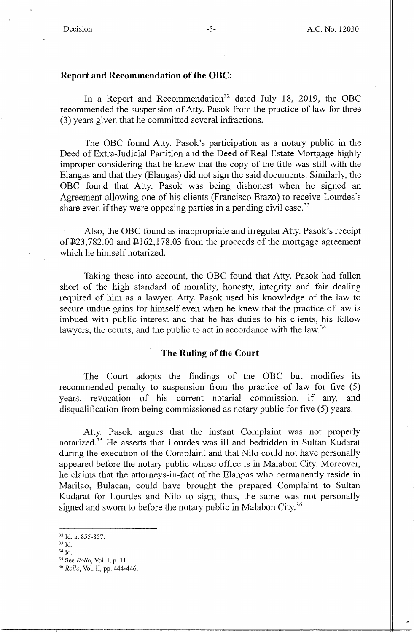## **Report and Recommendation of the OBC:**

In a Report and Recommendation<sup>32</sup> dated July 18, 2019, the OBC recommended the suspension of Atty. Pasok from the practice of law for three (3) years given that he committed several infractions.

The OBC found Atty. Pasok's participation as a notary public in the Deed of Extra-Judicial Partition and the Deed of Real Estate Mortgage highly improper considering that he knew that the copy of the title was still with the Elangas and that they (Elangas) did not sign the said documents. Similarly, the OBC found that Atty. Pasok was being dishonest when he signed an Agreement allowing one of his clients (Francisco Erazo) to receive Lourdes's share even if they were opposing parties in a pending civil case.<sup>33</sup>

Also, the OBC found as inappropriate and irregular Atty. Pasok's receipt of  $\text{\texttt{P23,782.00}}$  and  $\text{\texttt{P162,178.03}}$  from the proceeds of the mortgage agreement which he himself notarized.

Taking these into account, the OBC found that Atty. Pasok had fallen short of the high standard of morality, honesty, integrity and fair dealing required of him as a lawyer. Atty. Pasok used his knowledge of the law to secure undue gains for himself even when he knew that the practice of law is imbued with public interest and that he has duties to his clients, his fellow lawyers, the courts, and the public to act in accordance with the law.<sup>34</sup>

## **The Ruling of the Court**

The Court adopts the findings of the OBC but modifies its recommended penalty to suspension from the practice of law for five (5) years, revocation of his current notarial commission, if any, and disqualification from being commissioned as notary public for five (5) years.

Atty. Pasok argues that the instant Complaint was not properly notarized.35 He asserts that Lourdes was ill and bedridden in Sultan Kudarat during the execution of the Complaint and that Nilo could not have personally appeared before the notary public whose office is in Malabon City. Moreover, he claims that the attorneys-in-fact of the Elangas who permanently reside in Marilao, Bulacan, could have brought the prepared Complaint to Sultan Kudarat for Lourdes and Nilo to sign; thus, the same was not personally signed and sworn to before the notary public in Malabon City.<sup>36</sup>

33 Id.

<sup>32</sup> Id. at 855-857.

<sup>34</sup> Id.

*<sup>35</sup>*See *Rollo,* Vol. I, p. 11.

<sup>36</sup> *Rollo,* Vol. II, pp. 444-446.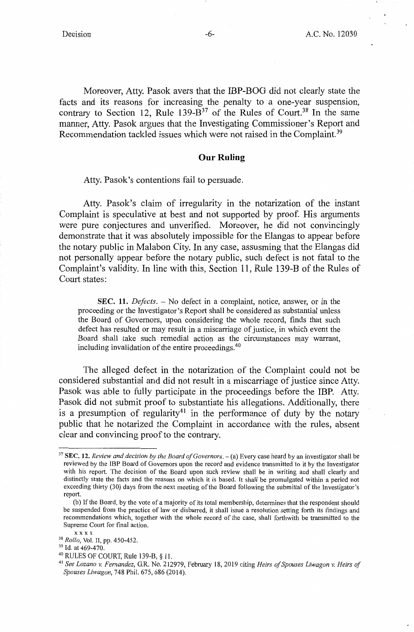Moreover, Atty. Pasok avers that the IBP-BOG did not clearly state the facts and its reasons for increasing the penalty to a one-year suspension, contrary to Section 12, Rule 139- $\overline{B}^{37}$  of the Rules of Court.<sup>38</sup> In the same manner, Atty. Pasok argues that the Investigating Commissioner's Report and Recommendation tackled issues which were not raised in the Complaint.<sup>39</sup>

### **Our Ruling**

Atty. Pasok's contentions fail to persuade.

Atty. Pasok's claim of irregularity in the notarization of the instant Complaint is speculative at best and not supported by proof. His arguments were pure conjectures and unverified. Moreover, he did not convincingly demonstrate that it was absolutely impossible for the Elangas to appear before the notary public in Malabon City. In any case, assusming that the Elangas did not personally appear before the notary public, such defect is not fatal to the Complaint's validity. In line with this, Section 11, Rule 139-B of the Rules of Court states:

**SEC. 11.** *Defects.* - No defect in a complaint, notice, answer, or in the proceeding or the Investigator's Report shall be considered as substantial unless the Board of Governors, upon considering the whole record, finds that such defect has resulted or may result in a miscarriage of justice, in which event the Board shall take such remedial action as the circumstances may warrant, including invalidation of the entire proceedings. <sup>40</sup>

The alleged defect in the notarization of the Complaint could not be considered substantial and did not result in a miscarriage of justice since Atty. Pasok was able to fully participate in the proceedings before the IBP. Atty. Pasok did not submit proof to substantiate his allegations. Additionally, there is a presumption of regularity<sup>41</sup> in the performance of duty by the notary public that he notarized the Complaint in accordance with the rules, absent clear and convincing proof to the contrary.

<sup>&</sup>lt;sup>37</sup> SEC. 12. *Review and decision by the Board of Governors.* - (a) Every case heard by an investigator shall be reviewed by the IBP Board of Governors upon the record and evidence transmitted to it by the Investigator with his report. The decision of the Board upon such review shall be in writing and shall clearly and distinctly state the facts and the reasons on which it is based. It shall be promulgated within a period not exceeding thirty (30) days from the next meeting of the Board following the submittal of the Investigator's report.

<sup>(</sup>b) If the Board, by the vote of a majority of its total membership, determines that the respondent should be suspended from the practice of law or disbarred, it shall issue a resolution setting forth its findings and recommendations which, together with the whole record of the case, shall forthwith be transmitted to the Supreme Court for final action.

x x x x<br><sup>38</sup> *Rollo*, Vol. II, pp. 450-452.<br><sup>39</sup> Id. at 469-470.<br><sup>40</sup> RULES OF COURT, Rule 139-B, § 11.

<sup>&</sup>lt;sup>41</sup> See Lozano v. Fernandez, G.R. No. 212979, February 18, 2019 citing *Heirs of Spouses Liwagon v. Heirs of Spouses Liwagon,* 748 Phil. 675, 686 (2014).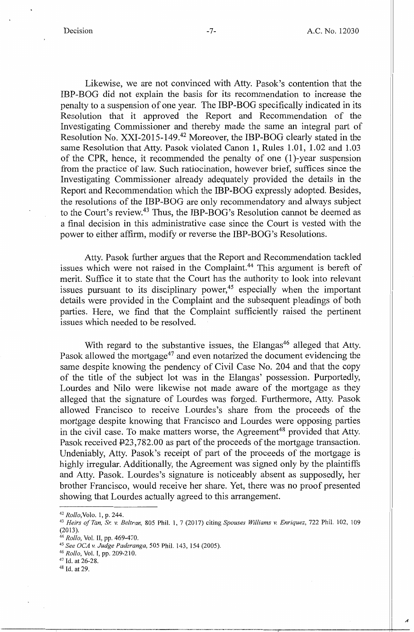Likewise, we are not convinced with Atty. Pasok's contention that the IBP-BOG did not explain the basis for its recommendation to increase the penalty to a suspension of one year. The IBP-BOG specifically indicated in its Resolution that it approved the Report and Recommendation of the Investigating Commissioner and thereby made the same an integral part of Resolution No. XXI-2015-149.<sup>42</sup> Moreover, the IBP-BOG clearly stated in the same Resolution that Atty. Pasok violated Canon 1, Rules 1.01, 1.02 and 1.03 of the CPR, hence, it recommended the penalty of one (1 )-year suspension from the practice of law. Such ratiocination, however brief, suffices since the Investigating Commissioner already adequately provided the details in the Report and Recommendation which the IBP-BOG expressly adopted. Besides, the resolutions of the IBP-BOG are only recommendatory and always subject to the Court's review.43 Thus, the IBP-BOG's Resolution cannot be deemed as a final decision in this administrative case since the Court is vested with the power to either affirm, modify or reverse the IBP-BOG's Resolutions.

Atty. Pasok further argues that the Report and Recommendation tackled issues which were not raised in the Complaint. 44 This argument is bereft of merit. Suffice it to state that the Court has the authority to look into relevant issues pursuant to its disciplinary power,  $45$  especially when the important details were provided in the Complaint and the subsequent pleadings of both parties. Here, we find that the Complaint sufficiently raised the pertinent issues which needed to be resolved.

With regard to the substantive issues, the Elangas<sup>46</sup> alleged that Atty. Pasok allowed the mortgage<sup>47</sup> and even notarized the document evidencing the same despite knowing the pendency of Civil Case No. 204 and that the copy of the title of the subject lot was in the Elangas' possession. Purportedly, Lourdes and Nilo were likewise not made aware of the mortgage as they alleged that the signature of Lourdes was forged. Furthermore, Atty. Pasok allowed Francisco to receive Lourdes's share from the proceeds of the mortgage despite knowing that Francisco and Lourdes were opposing parties in the civil case. To make matters worse, the Agreement<sup>48</sup> provided that Atty. Pasok received  $\overline{P}23,782.00$  as part of the proceeds of the mortgage transaction. Undeniably, Atty. Pasok's receipt of part of the proceeds of the mortgage is highly irregular. Additionally, the Agreement was signed only by the plaintiffs and Atty. Pasok. Lourdes's signature is noticeably absent as supposedly, her brother Francisco, would receive her share. Yet, there was no proof presented showing that Lourdes actually agreed to this arrangement.

<sup>42</sup>*Rollo,Volo.* 1, p. 244. 43 *Heirs of Tan,* & *v. Beltran,* 805 Phil. 1, 7 (2017) citing *Spouses Williams v. Enriquez,* 722 Phil. 102, 109 (2013).<br><sup>44</sup> Rollo, Vol. II, pp. 469-470.

<sup>45</sup> *See OCA v. Judge Paderanga*, 505 Phil. 143, 154 (2005).<br><sup>46</sup> *Rollo*, Vol. I, pp. 209-210. 47 Id. at 26-28.

<sup>48</sup> Id. at 29.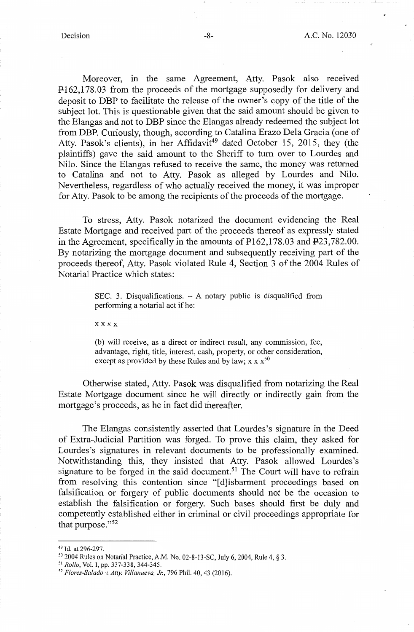Moreover, in the same Agreement, Atty. Pasok also received  $\text{P162,178.03}$  from the proceeds of the mortgage supposedly for delivery and deposit to DBP to facilitate the release of the owner's copy of the title of the subject lot. This is questionable given that the said amount should be given to the Elangas and not to DBP since the Elangas already redeemed the subject lot from DBP. Curiously, though, according to Catalina Erazo Dela Gracia ( one of Atty. Pasok's clients), in her Affidavit<sup>49</sup> dated October 15, 2015, they (the plaintiffs} gave the said amount to the Sheriff to tum over to Lourdes and Nilo. Since the Elangas refused to receive the same, the money was returned to Catalina and not to Atty. Pasok as alleged by Lourdes and Nilo. Nevertheless, regardless of who actually received the money, it was improper for Atty. Pasok to be among the recipients of the proceeds of the mortgage.

To stress, Atty. Pasok notarized the document evidencing the Real Estate Mortgage and received part of the proceeds thereof as expressly stated in the Agreement, specifically in the amounts of  $\text{\texttt{P162,178.03}}$  and  $\text{\texttt{P23,782.00}}$ . By notarizing the mortgage document and subsequently receiving part of the proceeds thereof, Atty. Pasok violated Rule 4, Section 3 of the 2004 Rules of Notarial Practice which states:

> SEC. 3. Disqualifications.  $-$  A notary public is disqualified from performing a notarial act if he:

**xxxx** 

(b) will receive, as a direct or indirect result, any commission, fee, advantage, right, title, interest, cash, property, or other consideration, except as provided by these Rules and by law;  $x \times x^{50}$ 

Otherwise stated, Atty. Pasok was disqualified from notarizing the Real Estate Mortgage document since he will directly or indirectly gain from the mortgage's proceeds, as he in fact did thereafter.

The Elangas consistently asserted that Lourdes's signature in the Deed of Extra-Judicial Partition was forged. To prove this claim, they asked for Lourdes's signatures in relevant documents to be professionally examined. Notwithstanding this, they insisted that Atty. Pasok allowed Lourdes's signature to be forged in the said document.<sup>51</sup> The Court will have to refrain from resolving this contention since "[d]isbarment proceedings based on falsification or forgery of public documents should not be the occasion to establish the falsification or forgery. Such bases should first be duly and competently established either in criminal or civil proceedings appropriate for that purpose."<sup>52</sup>

<sup>49</sup> Id. at 296-297.

*so* 2004 Rules on Notarial Practice, A.M. No. 02-8-13-SC, July 6, 2004, Rule 4, § 3.

<sup>&</sup>lt;sup>52</sup> Flores-Salado v. Atty. Villanueva, Jr., 796 Phil. 40, 43 (2016).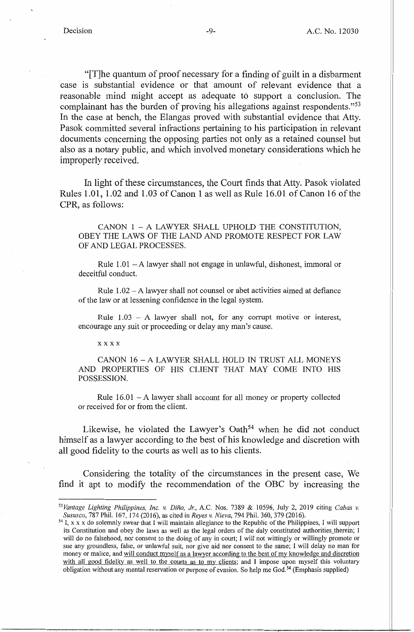"[T]he quantum\_ of proof necessary for a finding of guilt in a disbarment case is substantial evidence or that amount of relevant evidence that a reasonable mind might accept as adequate to support a conclusion. The complainant has the burden of proving his allegations against respondents."<sup>53</sup> In the case at bench, the Elangas proved with substantial evidence that Atty. Pasok committed several infractions pertaining to his participation in relevant documents concerning the opposing parties not only as a retained counsel but also as a notary public, and which involved monetary considerations which he improperly received.

In light of these circumstances, the Court finds that Atty. Pasok violated Rules 1.01, 1.02 and 1.03 of Canon 1 as well as Rule 16.01 of Canon 16 of the CPR, as follows:

CANON 1 - A LAWYER SHALL UPHOLD THE CONSTITUTION, OBEY THE LAWS OF THE LAND AND PROMOTE RESPECT FOR LAW OF AND LEGAL PROCESSES.

Rule  $1.01 - A$  lawyer shall not engage in unlawful, dishonest, immoral or deceitful conduct.

Rule  $1.02 - A$  lawyer shall not counsel or abet activities aimed at defiance of the law or at lessening confidence in the legal system.

Rule  $1.03 - A$  lawyer shall not, for any corrupt motive or interest, encourage any suit or proceeding or delay any man's cause.

xxxx

CANON 16 - A LAWYER SHALL HOLD IN TRUST ALL MONEYS AND PROPERTIES OF HIS CLIENT THAT MAY COME INTO HIS POSSESSION.

Rule  $16.01 - A$  lawyer shall account for all money or property collected or received for or from the client.

Likewise, he violated the Lawyer's Oath<sup>54</sup> when he did not conduct himself as a lawyer according to the best of his knowledge and discretion with all good fidelity to the courts as well as to his clients.

Considering the totality of the circumstances in the present case, We find it apt to modify the recommendation of the OBC by increasing the

*<sup>53</sup> Vantage Lighting Philippines, Inc. v. Dino, 11'.,* A.C. Nos. 7389 & 10596, July 2, 2019 citing *Cabas v. Sususco, 787 Phil.* 167, 174 (2016), as cited in *Reyes v. Nieva, 794 Phil.* 360, 379 (2016).<br><sup>54</sup> I, x x x do solemnly swear that I will maintain allegiance to the Republic of the Philippines, I will support

its Constitution and obey the laws as well as the legal orders of the duly constituted authorities\_therein; I will do no falsehood, nor consent to the doing of any in court; I will not wittingly or willingly promote or sue any groundless, false, or unlawful suit, nor give aid nor consent to the same; I will delay no man for money or malice, and will conduct myself as a lawyer according to the best of my knowledge and discretion with all good fidelity as well to the courts as to my clients; and I impose upon myself this voluntary obligation without any mental reservation or purpose of evasion. So help me God.54 (Emphasis supplied)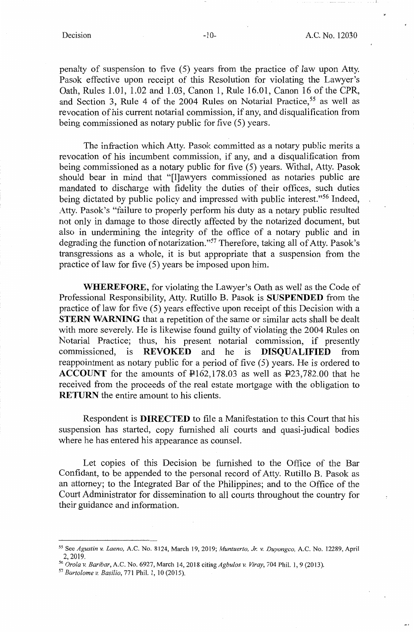penalty of suspension to five (5) years from the practice of law upon Atty. Pasok effective upon receipt of this Resolution for violating the Lawyer's Oath, Rules 1.01, 1.02 and 1.03, Canon 1, Rule 16.01, Canon 16 of the CPR, and Section 3, Rule 4 of the 2004 Rules on Notarial Practice,<sup>55</sup> as well as revocation of his current notarial commission, if any, and disqualification from being commissioned as notary public for five (5) years.

The infraction which Atty. Pasok committed as a notary public merits a revocation of his incumbent commission, if any, and a disqualification from being commissioned as a notary public for five (5) years. Withal, Atty. Pasok should bear in mind that "[l]awyers commissioned as notaries public are mandated to discharge with fidelity the duties of their offices, such duties being dictated by public policy and impressed with public interest."<sup>56</sup> Indeed, Atty. Pasok's "failure to properly perform his duty as a notary public resulted not only in damage to those directly affected by the notarized document, but also in undermining the integrity of the office of a notary public and in degrading the function of notarization."57 Therefore, taking all of Atty. Pasok's transgressions as a whole, it is but appropriate that a suspension from the practice of law for five (5) years be imposed upon him.

**WHEREFORE,** for violating the Lawyer's Oath as well as the Code of Professional Responsibility, Atty. Rutillo B. Pasok is **SUSPENDED** from the practice of law for five (5) years effective upon receipt of this Decision with a **STERN WARNING** that a repetition of the same or similar acts shall be dealt with more severely. He is likewise found guilty of violating the 2004 Rules on Notarial Practice; thus, his present notarial commission, if presently commissioned, is **REVOKED** and he is **DISQUALIFIED** from reappointment as notary public for a period of five (5) years. He is ordered to **ACCOUNT** for the amounts of Pl62,178.03 as well as P23,782.00 that he received from the proceeds of the real estate mortgage with the obligation to **RETURN** the entire amount to his clients.

Respondent is **DIRECTED** to file a Manifestation to this Court that his suspension has started, copy furnished all courts and quasi-judical bodies where he has entered his appearance as counsel.

Let copies of this Decision be furnished to the Office of the Bar Confidant, to be appended to the personal record of Atty. Rutillo B. Pasok as an attorney; to the Integrated Bar of the Philippines; and to the Office of the Court Administrator for dissemination to all courts throughout the country for their guidance and information.

*<sup>55</sup>*See *Agustin v. Laeno,* A.C. No. 8124, March 19, 2019; *Muntuerto, Jr. v. Duyongco,* A.C. No. 12289, April 2, 2019. 56 *Oro/av. Baribar,* A.C. No. 6927, March 14, 2018 citing *Agbulos v. Viray,* 704 Phil. 1, 9 (2013).

<sup>57</sup>*Bartolome v. Basilio,* 771 Phil. 1, 10 (2015).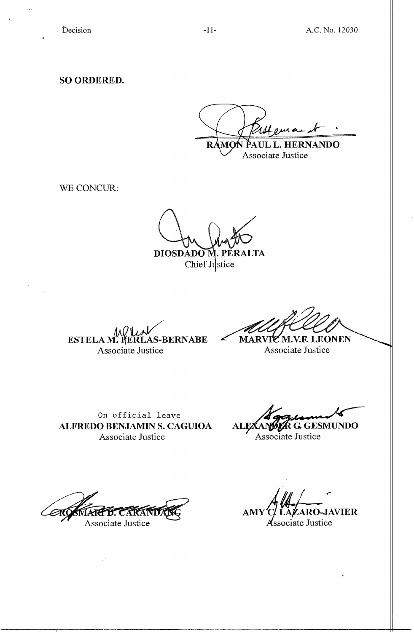**SO ORDERED.** 

**HERNANDO**  $R/$ PATIL.

Associate Justice

WE CONCUR:

DIOSDADO M. PERALTA Chief Justice

**ESTELA M. PERLAS-BERNABE** Associate Justice

**ZM.V.F. LEONEN MARV** 

Associate Justice

On official leave **ALFREDO BENJAMIN S. CAGUIOA**  Associate Justice

**ALEXAN** ~~~ **G. GESMUNDO** 

Associate Justice

eк

Associate Justice

AMY'C/LAZARO-JAVIER Associate Justice